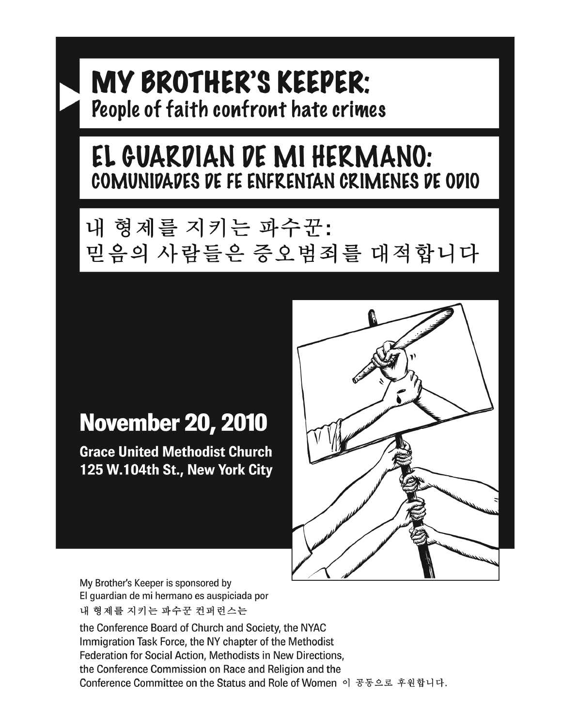# MY BROTHER'S KEEPER: People of faith confront hate crimes

# EL GUARDIAN DE MI HERMANO: COMUNIDADES DE FE ENFRENTAN CRIMENES DE ODIO

# 내 형제를 지키는 파수꾼: 믿음의 사람들은 증오범죄를 대적합니다

# **November 20, 2010**

**Grace United Methodist Church** 125 W.104th St., New York City



My Brother's Keeper is sponsored by El guardian de mi hermano es auspiciada por 내 형제를 지키는 파수꾼 컨퍼런스는

the Conference Board of Church and Society, the NYAC Immigration Task Force, the NY chapter of the Methodist Federation for Social Action, Methodists in New Directions, the Conference Commission on Race and Religion and the Conference Committee on the Status and Role of Women 이 공동으로 후원합니다.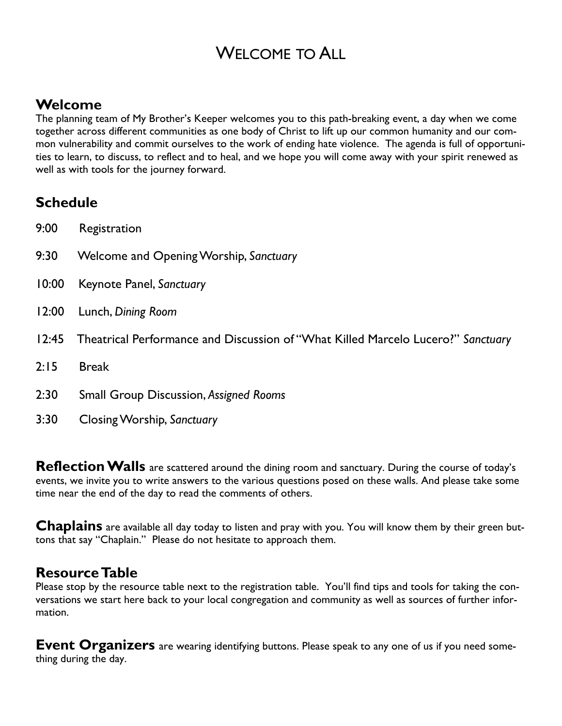# WELCOME TO ALL

## **Welcome**

The planning team of My Brother's Keeper welcomes you to this path-breaking event, a day when we come together across different communities as one body of Christ to lift up our common humanity and our common vulnerability and commit ourselves to the work of ending hate violence. The agenda is full of opportunities to learn, to discuss, to reflect and to heal, and we hope you will come away with your spirit renewed as well as with tools for the journey forward.

### **Schedule**

- 9:00 Registration
- 9:30 Welcome and Opening Worship, *Sanctuary*
- 10:00 Keynote Panel, *Sanctuary*
- 12:00 Lunch, *Dining Room*
- 12:45 Theatrical Performance and Discussion of "What Killed Marcelo Lucero?" *Sanctuary*
- 2:15 Break
- 2:30 Small Group Discussion, *Assigned Rooms*
- 3:30 Closing Worship, *Sanctuary*

Reflection Walls are scattered around the dining room and sanctuary. During the course of today's events, we invite you to write answers to the various questions posed on these walls. And please take some time near the end of the day to read the comments of others.

**Chaplains** are available all day today to listen and pray with you. You will know them by their green buttons that say "Chaplain." Please do not hesitate to approach them.

### **Resource Table**

Please stop by the resource table next to the registration table. You'll find tips and tools for taking the conversations we start here back to your local congregation and community as well as sources of further information.

**Event Organizers** are wearing identifying buttons. Please speak to any one of us if you need something during the day.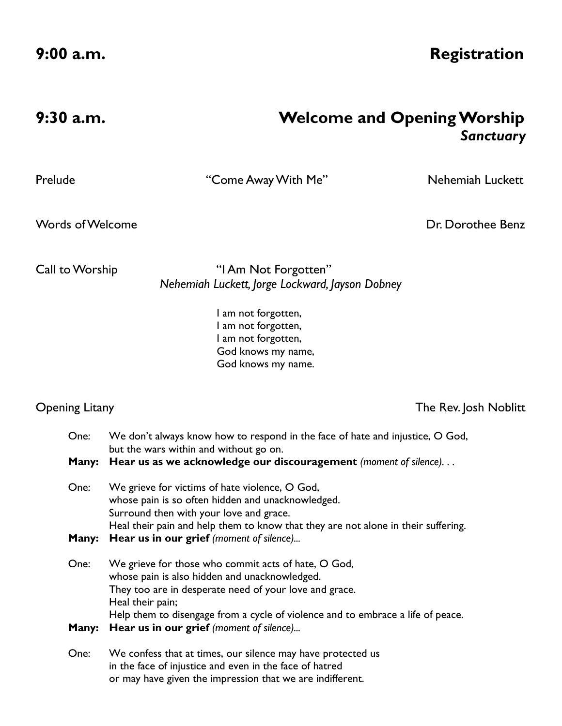**9:00 a.m. Registration** 

| 9:30 a.m. | <b>Welcome and Opening Worship</b> |
|-----------|------------------------------------|
|           | Sanctuary                          |

Prelude "Come Away With Me" Nehemiah Luckett

**Words of Welcome Dr. Dorothee Benz** 

Call to Worship "I Am Not Forgotten" *Nehemiah Luckett, Jorge Lockward, Jayson Dobney* 

> I am not forgotten, I am not forgotten, I am not forgotten, God knows my name, God knows my name.

Opening Litany The Rev. Josh Noblitt

| One:  | We don't always know how to respond in the face of hate and injustice, O God,<br>but the wars within and without go on.                                                                                                                                               |  |  |  |  |
|-------|-----------------------------------------------------------------------------------------------------------------------------------------------------------------------------------------------------------------------------------------------------------------------|--|--|--|--|
| Many: | Hear us as we acknowledge our discouragement (moment of silence)                                                                                                                                                                                                      |  |  |  |  |
| One:  | We grieve for victims of hate violence, O God,<br>whose pain is so often hidden and unacknowledged.<br>Surround then with your love and grace.                                                                                                                        |  |  |  |  |
| Many: | Heal their pain and help them to know that they are not alone in their suffering.<br>Hear us in our grief (moment of silence)                                                                                                                                         |  |  |  |  |
| One:  | We grieve for those who commit acts of hate, O God,<br>whose pain is also hidden and unacknowledged.<br>They too are in desperate need of your love and grace.<br>Heal their pain;<br>Help them to disengage from a cycle of violence and to embrace a life of peace. |  |  |  |  |
| Many: | Hear us in our grief (moment of silence)                                                                                                                                                                                                                              |  |  |  |  |
| One:  | We confess that at times, our silence may have protected us<br>in the face of injustice and even in the face of hatred<br>or may have given the impression that we are indifferent.                                                                                   |  |  |  |  |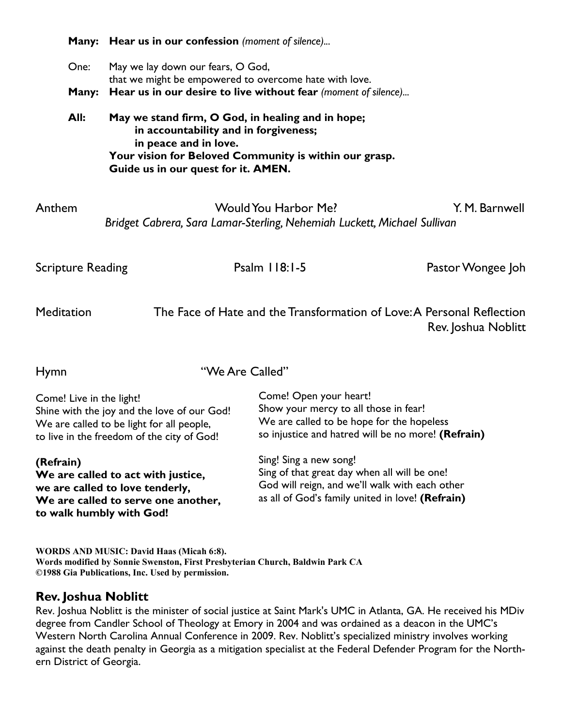|                                                                                                                                                                    | Many: Hear us in our confession (moment of silence)                                                                                                                                                                  |                                                                                                                                                                    |                   |  |  |
|--------------------------------------------------------------------------------------------------------------------------------------------------------------------|----------------------------------------------------------------------------------------------------------------------------------------------------------------------------------------------------------------------|--------------------------------------------------------------------------------------------------------------------------------------------------------------------|-------------------|--|--|
| One:                                                                                                                                                               | May we lay down our fears, O God,<br>that we might be empowered to overcome hate with love.                                                                                                                          |                                                                                                                                                                    |                   |  |  |
| Many:                                                                                                                                                              | Hear us in our desire to live without fear (moment of silence)                                                                                                                                                       |                                                                                                                                                                    |                   |  |  |
| All:                                                                                                                                                               | May we stand firm, O God, in healing and in hope;<br>in accountability and in forgiveness;<br>in peace and in love.<br>Your vision for Beloved Community is within our grasp.<br>Guide us in our quest for it. AMEN. |                                                                                                                                                                    |                   |  |  |
| Anthem<br>Would You Harbor Me?<br>Y. M. Barnwell<br>Bridget Cabrera, Sara Lamar-Sterling, Nehemiah Luckett, Michael Sullivan                                       |                                                                                                                                                                                                                      |                                                                                                                                                                    |                   |  |  |
| <b>Scripture Reading</b>                                                                                                                                           |                                                                                                                                                                                                                      | Psalm 118:1-5                                                                                                                                                      | Pastor Wongee Joh |  |  |
| <b>Meditation</b><br>The Face of Hate and the Transformation of Love: A Personal Reflection<br>Rev. Joshua Noblitt                                                 |                                                                                                                                                                                                                      |                                                                                                                                                                    |                   |  |  |
| <b>Hymn</b>                                                                                                                                                        | "We Are Called"                                                                                                                                                                                                      |                                                                                                                                                                    |                   |  |  |
| Come! Live in the light!<br>Shine with the joy and the love of our God!<br>We are called to be light for all people,<br>to live in the freedom of the city of God! |                                                                                                                                                                                                                      | Come! Open your heart!<br>Show your mercy to all those in fear!<br>We are called to be hope for the hopeless<br>so injustice and hatred will be no more! (Refrain) |                   |  |  |

**(Refrain) We are called to act with justice, we are called to love tenderly, We are called to serve one another, to walk humbly with God!** 

Sing! Sing a new song! Sing of that great day when all will be one! God will reign, and we'll walk with each other as all of God's family united in love! **(Refrain)**

**WORDS AND MUSIC: David Haas (Micah 6:8).** 

**Words modified by Sonnie Swenston, First Presbyterian Church, Baldwin Park CA ©1988 Gia Publications, Inc. Used by permission.**

#### **Rev. Joshua Noblitt**

Rev. Joshua Noblitt is the minister of social justice at Saint Mark's UMC in Atlanta, GA. He received his MDiv degree from Candler School of Theology at Emory in 2004 and was ordained as a deacon in the UMC's Western North Carolina Annual Conference in 2009. Rev. Noblitt's specialized ministry involves working against the death penalty in Georgia as a mitigation specialist at the Federal Defender Program for the Northern District of Georgia.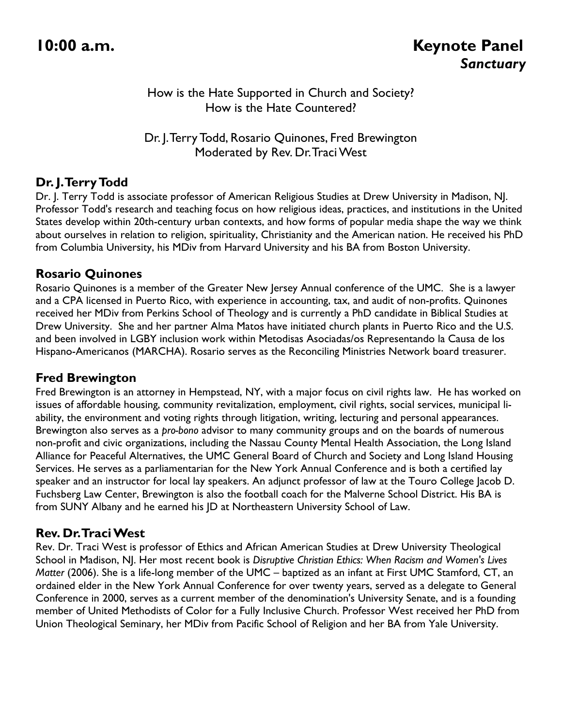#### How is the Hate Supported in Church and Society? How is the Hate Countered?

Dr. J. Terry Todd, Rosario Quinones, Fred Brewington Moderated by Rev. Dr. Traci West

### **Dr. J. Terry Todd**

Dr. J. Terry Todd is associate professor of American Religious Studies at Drew University in Madison, NJ. Professor Todd's research and teaching focus on how religious ideas, practices, and institutions in the United States develop within 20th-century urban contexts, and how forms of popular media shape the way we think about ourselves in relation to religion, spirituality, Christianity and the American nation. He received his PhD from Columbia University, his MDiv from Harvard University and his BA from Boston University.

#### **Rosario Quinones**

Rosario Quinones is a member of the Greater New Jersey Annual conference of the UMC. She is a lawyer and a CPA licensed in Puerto Rico, with experience in accounting, tax, and audit of non-profits. Quinones received her MDiv from Perkins School of Theology and is currently a PhD candidate in Biblical Studies at Drew University. She and her partner Alma Matos have initiated church plants in Puerto Rico and the U.S. and been involved in LGBY inclusion work within Metodisas Asociadas/os Representando la Causa de los Hispano-Americanos (MARCHA). Rosario serves as the Reconciling Ministries Network board treasurer.

#### **Fred Brewington**

Fred Brewington is an attorney in Hempstead, NY, with a major focus on civil rights law. He has worked on issues of affordable housing, community revitalization, employment, civil rights, social services, municipal liability, the environment and voting rights through litigation, writing, lecturing and personal appearances. Brewington also serves as a *pro-bono* advisor to many community groups and on the boards of numerous non-profit and civic organizations, including the Nassau County Mental Health Association, the Long Island Alliance for Peaceful Alternatives, the UMC General Board of Church and Society and Long Island Housing Services. He serves as a parliamentarian for the New York Annual Conference and is both a certified lay speaker and an instructor for local lay speakers. An adjunct professor of law at the Touro College Jacob D. Fuchsberg Law Center, Brewington is also the football coach for the Malverne School District. His BA is from SUNY Albany and he earned his JD at Northeastern University School of Law.

### **Rev. Dr. Traci West**

Rev. Dr. Traci West is professor of Ethics and African American Studies at Drew University Theological School in Madison, NJ. Her most recent book is *Disruptive Christian Ethics: When Racism and Women's Lives Matter* (2006). She is a life-long member of the UMC – baptized as an infant at First UMC Stamford, CT, an ordained elder in the New York Annual Conference for over twenty years, served as a delegate to General Conference in 2000, serves as a current member of the denomination's University Senate, and is a founding member of United Methodists of Color for a Fully Inclusive Church. Professor West received her PhD from Union Theological Seminary, her MDiv from Pacific School of Religion and her BA from Yale University.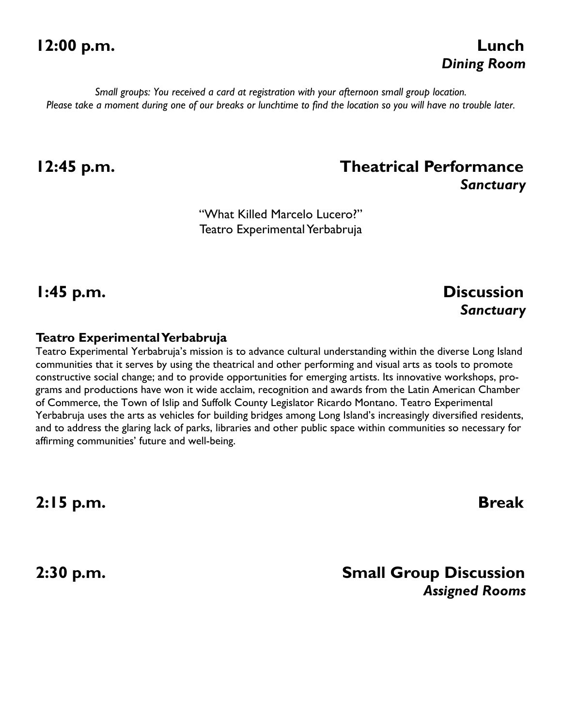# **12:00 p.m. Lunch**

*Small groups: You received a card at registration with your afternoon small group location. Please take a moment during one of our breaks or lunchtime to find the location so you will have no trouble later.* 

## **12:45 p.m. Theatrical Performance**  *Sanctuary*

"What Killed Marcelo Lucero?" Teatro Experimental Yerbabruja

### **1:45 p.m. Discussion**  *Sanctuary*

#### **Teatro Experimental Yerbabruja**

Teatro Experimental Yerbabruja's mission is to advance cultural understanding within the diverse Long Island communities that it serves by using the theatrical and other performing and visual arts as tools to promote constructive social change; and to provide opportunities for emerging artists. Its innovative workshops, programs and productions have won it wide acclaim, recognition and awards from the Latin American Chamber of Commerce, the Town of Islip and Suffolk County Legislator Ricardo Montano. Teatro Experimental Yerbabruja uses the arts as vehicles for building bridges among Long Island's increasingly diversified residents, and to address the glaring lack of parks, libraries and other public space within communities so necessary for affirming communities' future and well-being.

**2:15 p.m. Break** 

## **2:30 p.m. Small Group Discussion**  *Assigned Rooms*

*Dining Room*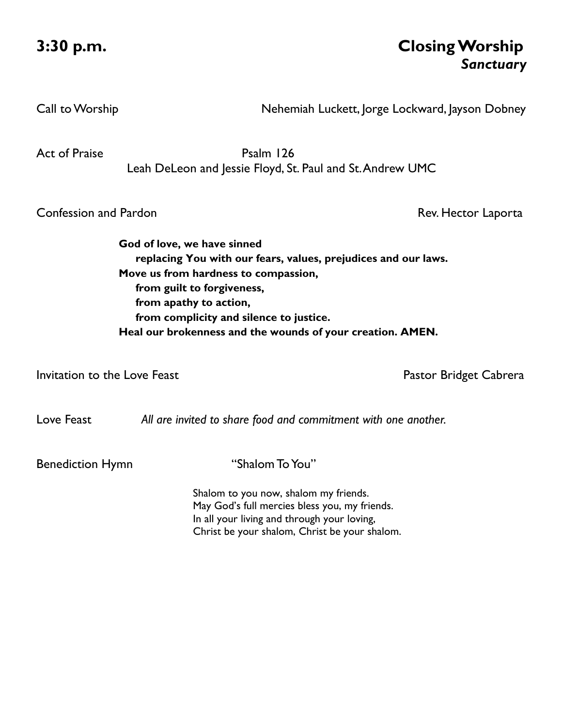## **3:30 p.m. Closing Worship**  *Sanctuary*

Call to Worship **Nehemiah Luckett, Jorge Lockward, Jayson Dobney** 

Act of Praise **Psalm 126** Leah DeLeon and Jessie Floyd, St. Paul and St. Andrew UMC

**Confession and Pardon Rev. Hector Laporta** 

**God of love, we have sinned replacing You with our fears, values, prejudices and our laws. Move us from hardness to compassion, from guilt to forgiveness, from apathy to action, from complicity and silence to justice. Heal our brokenness and the wounds of your creation. AMEN.** 

Invitation to the Love Feast **Pastor Bridget Cabrera** Pastor Bridget Cabrera

Love Feast *All are invited to share food and commitment with one another.* 

Benediction Hymn "Shalom To You"

Shalom to you now, shalom my friends. May God's full mercies bless you, my friends. In all your living and through your loving, Christ be your shalom, Christ be your shalom.